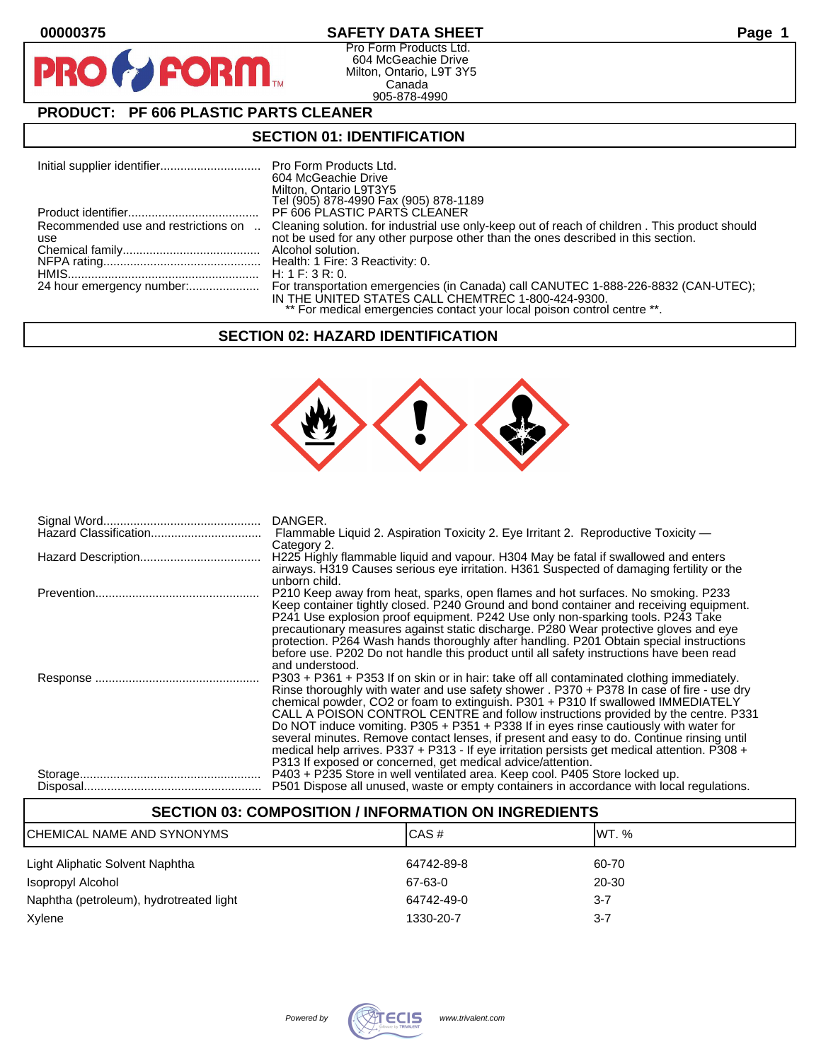$\mathbf O$ 

PR

## **00000375 SAFETY DATA SHEET Page 1**

Pro Form Products Ltd. 604 McGeachie Drive Milton, Ontario, L9T 3Y5 Canada 905-878-4990

## **PRODUCT: PF 606 PLASTIC PARTS CLEANER**

**FORM** 

## **SECTION 01: IDENTIFICATION**

|                                            | 604 McGeachie Drive<br>Milton, Ontario L9T3Y5<br>Tel (905) 878-4990 Fax (905) 878-1189                                                                                                                 |
|--------------------------------------------|--------------------------------------------------------------------------------------------------------------------------------------------------------------------------------------------------------|
|                                            | PF 606 PLASTIC PARTS CLEANER                                                                                                                                                                           |
| Recommended use and restrictions on<br>use | Cleaning solution, for industrial use only-keep out of reach of children, This product should<br>not be used for any other purpose other than the ones described in this section.<br>Alcohol solution. |
|                                            |                                                                                                                                                                                                        |
|                                            | H: 1 F: 3 R: 0.                                                                                                                                                                                        |
|                                            | IN THE UNITED STATES CALL CHEMTREC 1-800-424-9300.<br>** For medical emergencies contact your local poison control centre **.                                                                          |

#### **SECTION 02: HAZARD IDENTIFICATION**



| DANGER.                                                                                      |
|----------------------------------------------------------------------------------------------|
| Flammable Liquid 2. Aspiration Toxicity 2. Eye Irritant 2. Reproductive Toxicity —           |
| Category 2.                                                                                  |
| H225 Highly flammable liquid and vapour. H304 May be fatal if swallowed and enters           |
| airways. H319 Causes serious eye irritation. H361 Suspected of damaging fertility or the     |
| unborn child.                                                                                |
| P210 Keep away from heat, sparks, open flames and hot surfaces. No smoking. P233             |
| Keep container tightly closed. P240 Ground and bond container and receiving equipment.       |
| P241 Use explosion proof equipment. P242 Use only non-sparking tools. P243 Take              |
| precautionary measures against static discharge. P280 Wear protective gloves and eye         |
| protection. P264 Wash hands thoroughly after handling. P201 Obtain special instructions      |
| before use. P202 Do not handle this product until all safety instructions have been read     |
| and understood.                                                                              |
|                                                                                              |
| P303 + P361 + P353 If on skin or in hair: take off all contaminated clothing immediately.    |
| Rinse thoroughly with water and use safety shower . P370 + P378 In case of fire - use dry    |
| chemical powder, CO2 or foam to extinguish. P301 + P310 If swallowed IMMEDIATELY             |
| CALL A POISON CONTROL CENTRE and follow instructions provided by the centre. P331            |
| Do NOT induce vomiting. P305 + P351 + P338 If in eyes rinse cautiously with water for        |
| several minutes. Remove contact lenses, if present and easy to do. Continue rinsing until    |
| medical help arrives. P337 + P313 - If eye irritation persists get medical attention. P308 + |
| P313 If exposed or concerned, get medical advice/attention.                                  |
| P403 + P235 Store in well ventilated area. Keep cool. P405 Store locked up.                  |
| P501 Dispose all unused, waste or empty containers in accordance with local regulations.     |
|                                                                                              |

| <b>SECTION 03: COMPOSITION / INFORMATION ON INGREDIENTS</b> |            |         |  |
|-------------------------------------------------------------|------------|---------|--|
| ICHEMICAL NAME AND SYNONYMS                                 | CAS#       | IWT. %  |  |
| Light Aliphatic Solvent Naphtha                             | 64742-89-8 | 60-70   |  |
| Isopropyl Alcohol                                           | 67-63-0    | 20-30   |  |
| Naphtha (petroleum), hydrotreated light                     | 64742-49-0 | $3 - 7$ |  |
| Xylene                                                      | 1330-20-7  | $3 - 7$ |  |

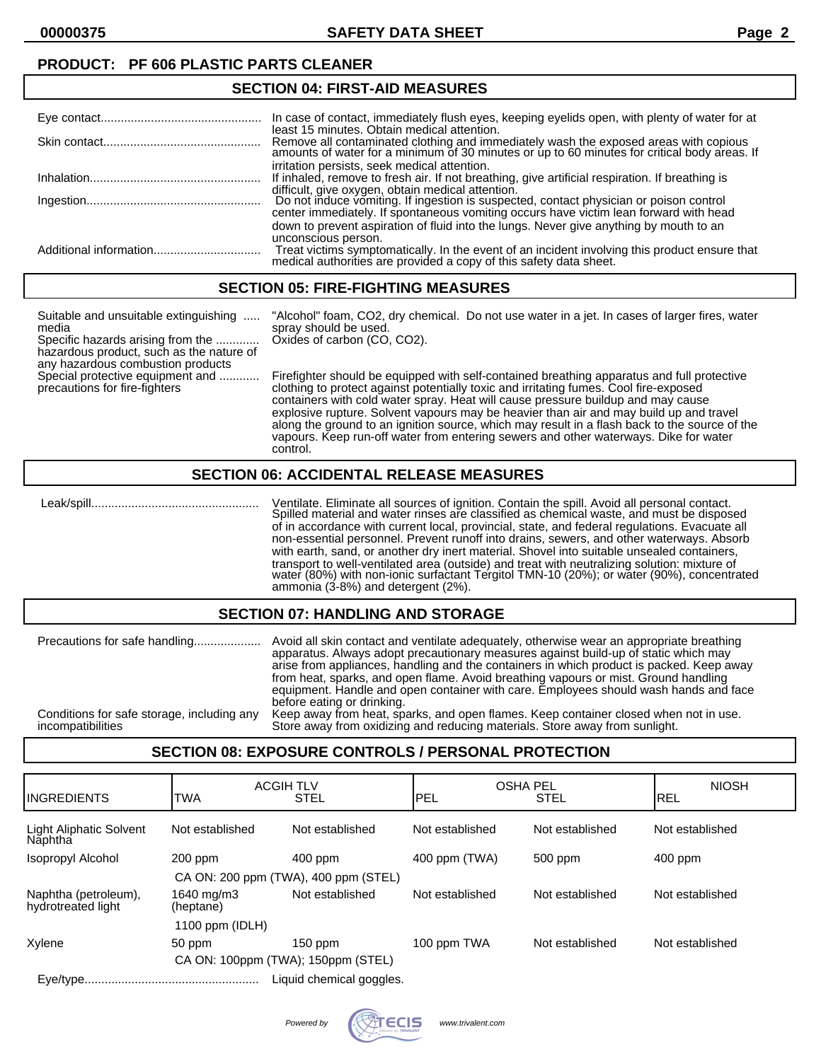**00000375 SAFETY DATA SHEET Page 2**

## **PRODUCT: PF 606 PLASTIC PARTS CLEANER**

#### **SECTION 04: FIRST-AID MEASURES** Eye contact................................................ In case of contact, immediately flush eyes, keeping eyelids open, with plenty of water for at least 15 minutes. Obtain medical attention. Skin contact............................................... Remove all contaminated clothing and immediately wash the exposed areas with copious amounts of water for a minimum of 30 minutes or up to 60 minutes for critical body areas. If irritation persists, seek medical attention. Inhalation................................................... If inhaled, remove to fresh air. If not breathing, give artificial respiration. If breathing is difficult, give oxygen, obtain medical attention. Ingestion.................................................... Do not induce vomiting. If ingestion is suspected, contact physician or poison control center immediately. If spontaneous vomiting occurs have victim lean forward with head down to prevent aspiration of fluid into the lungs. Never give anything by mouth to an unconscious person. Additional information................................ Treat victims symptomatically. In the event of an incident involving this product ensure that medical authorities are provided a copy of this safety data sheet.

#### **SECTION 05: FIRE-FIGHTING MEASURES**

| Suitable and unsuitable extinguishing<br>media<br>Specific hazards arising from the<br>hazardous product, such as the nature of<br>any hazardous combustion products | "Alcohol" foam, CO2, dry chemical. Do not use water in a jet. In cases of larger fires, water<br>spray should be used.<br>Oxides of carbon (CO, CO2).                                                                                                                   |
|----------------------------------------------------------------------------------------------------------------------------------------------------------------------|-------------------------------------------------------------------------------------------------------------------------------------------------------------------------------------------------------------------------------------------------------------------------|
| Special protective equipment and<br>precautions for fire-fighters                                                                                                    | Firefighter should be equipped with self-contained breathing apparatus and full protective<br>clothing to protect against potentially toxic and irritating fumes. Cool fire-exposed<br>containers with cold water spray. Heat will cause pressure buildup and may cause |

explosive rupture. Solvent vapours may be heavier than air and may build up and travel along the ground to an ignition source, which may result in a flash back to the source of the vapours. Keep run-off water from entering sewers and other waterways. Dike for water

# **SECTION 06: ACCIDENTAL RELEASE MEASURES**

control.

 Leak/spill.................................................. Ventilate. Eliminate all sources of ignition. Contain the spill. Avoid all personal contact. Spilled material and water rinses are classified as chemical waste, and must be disposed of in accordance with current local, provincial, state, and federal regulations. Evacuate all non-essential personnel. Prevent runoff into drains, sewers, and other waterways. Absorb with earth, sand, or another dry inert material. Shovel into suitable unsealed containers, transport to well-ventilated area (outside) and treat with neutralizing solution: mixture of water (80%) with non-ionic surfactant Tergitol TMN-10 (20%); or water (90%), concentrated ammonia (3-8%) and detergent (2%).

#### **SECTION 07: HANDLING AND STORAGE**

| Precautions for safe handling<br>Conditions for safe storage, including any<br>incompatibilities | Avoid all skin contact and ventilate adequately, otherwise wear an appropriate breathing<br>apparatus. Always adopt precautionary measures against build-up of static which may<br>arise from appliances, handling and the containers in which product is packed. Keep away<br>from heat, sparks, and open flame. Avoid breathing vapours or mist. Ground handling<br>equipment. Handle and open container with care. Employees should wash hands and face<br>before eating or drinking.<br>Keep away from heat, sparks, and open flames. Keep container closed when not in use.<br>Store away from oxidizing and reducing materials. Store away from sunlight. |
|--------------------------------------------------------------------------------------------------|-----------------------------------------------------------------------------------------------------------------------------------------------------------------------------------------------------------------------------------------------------------------------------------------------------------------------------------------------------------------------------------------------------------------------------------------------------------------------------------------------------------------------------------------------------------------------------------------------------------------------------------------------------------------|
|--------------------------------------------------------------------------------------------------|-----------------------------------------------------------------------------------------------------------------------------------------------------------------------------------------------------------------------------------------------------------------------------------------------------------------------------------------------------------------------------------------------------------------------------------------------------------------------------------------------------------------------------------------------------------------------------------------------------------------------------------------------------------------|

#### **SECTION 08: EXPOSURE CONTROLS / PERSONAL PROTECTION**

| <b>INGREDIENTS</b>                         | <b>ACGIH TLV</b><br><b>TWA</b>     | <b>STEL</b>              | <b>OSHA PEL</b><br>PEL | <b>STEL</b>     | <b>NIOSH</b><br><b>IREL</b> |
|--------------------------------------------|------------------------------------|--------------------------|------------------------|-----------------|-----------------------------|
| Light Aliphatic Solvent<br>Năphtha         | Not established                    | Not established          | Not established        | Not established | Not established             |
| Isopropyl Alcohol                          | $200$ ppm                          | 400 ppm                  | 400 ppm (TWA)          | 500 ppm         | $400$ ppm                   |
| CA ON: 200 ppm (TWA), 400 ppm (STEL)       |                                    |                          |                        |                 |                             |
| Naphtha (petroleum),<br>hydrotreated light | 1640 mg/m3<br>(heptane)            | Not established          | Not established        | Not established | Not established             |
|                                            | 1100 ppm $(IDLH)$                  |                          |                        |                 |                             |
| Xylene                                     | 50 ppm                             | $150$ ppm                | 100 ppm TWA            | Not established | Not established             |
|                                            | CA ON: 100ppm (TWA); 150ppm (STEL) |                          |                        |                 |                             |
|                                            |                                    | Liquid chemical goggles. |                        |                 |                             |

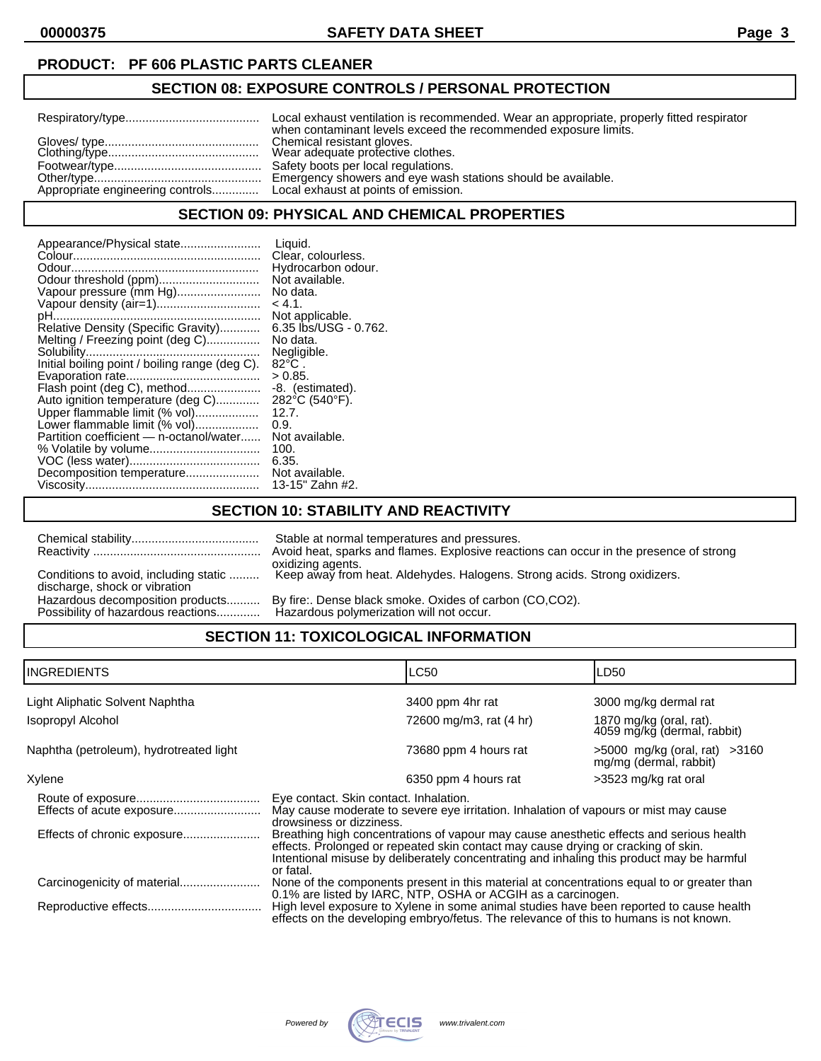**00000375 SAFETY DATA SHEET Page 3**

## **PRODUCT: PF 606 PLASTIC PARTS CLEANER**

## **SECTION 08: EXPOSURE CONTROLS / PERSONAL PROTECTION**

| when contaminant levels exceed the recommended exposure limits. |
|-----------------------------------------------------------------|
|                                                                 |
| Emergency showers and eye wash stations should be available.    |

#### **SECTION 09: PHYSICAL AND CHEMICAL PROPERTIES**

#### **SECTION 10: STABILITY AND REACTIVITY**

|                                                                        | Stable at normal temperatures and pressures.<br>Avoid heat, sparks and flames. Explosive reactions can occur in the presence of strong<br>oxidizing agents. |
|------------------------------------------------------------------------|-------------------------------------------------------------------------------------------------------------------------------------------------------------|
| Conditions to avoid, including static<br>discharge, shock or vibration | Keep away from heat. Aldehydes. Halogens. Strong acids. Strong oxidizers.                                                                                   |
| Hazardous decomposition products<br>Possibility of hazardous reactions | By fire:. Dense black smoke. Oxides of carbon (CO,CO2).<br>Hazardous polymerization will not occur.                                                         |

## **SECTION 11: TOXICOLOGICAL INFORMATION**

| <b>INGREDIENTS</b>                      | <b>LC50</b>                                                                                                                                                                                                                                                                            |                         | LD50                                                        |
|-----------------------------------------|----------------------------------------------------------------------------------------------------------------------------------------------------------------------------------------------------------------------------------------------------------------------------------------|-------------------------|-------------------------------------------------------------|
| Light Aliphatic Solvent Naphtha         |                                                                                                                                                                                                                                                                                        | 3400 ppm 4hr rat        | 3000 mg/kg dermal rat                                       |
| <b>Isopropyl Alcohol</b>                |                                                                                                                                                                                                                                                                                        | 72600 mg/m3, rat (4 hr) | 1870 mg/kg (oral, rat).<br>4059 mg/kg (dermal, rabbit)      |
| Naphtha (petroleum), hydrotreated light |                                                                                                                                                                                                                                                                                        | 73680 ppm 4 hours rat   | $>5000$ mg/kg (oral, rat) $>3160$<br>mg/mg (dermal, rabbit) |
| Xylene                                  |                                                                                                                                                                                                                                                                                        | 6350 ppm 4 hours rat    | >3523 mg/kg rat oral                                        |
|                                         | Eye contact. Skin contact. Inhalation.<br>May cause moderate to severe eye irritation. Inhalation of vapours or mist may cause<br>drowsiness or dizziness.                                                                                                                             |                         |                                                             |
| Effects of chronic exposure             | Breathing high concentrations of vapour may cause anesthetic effects and serious health<br>effects. Prolonged or repeated skin contact may cause drying or cracking of skin.<br>Intentional misuse by deliberately concentrating and inhaling this product may be harmful<br>or fatal. |                         |                                                             |
|                                         | None of the components present in this material at concentrations equal to or greater than<br>0.1% are listed by IARC, NTP, OSHA or ACGIH as a carcinogen.                                                                                                                             |                         |                                                             |
|                                         | High level exposure to Xylene in some animal studies have been reported to cause health<br>effects on the developing embryo/fetus. The relevance of this to humans is not known.                                                                                                       |                         |                                                             |